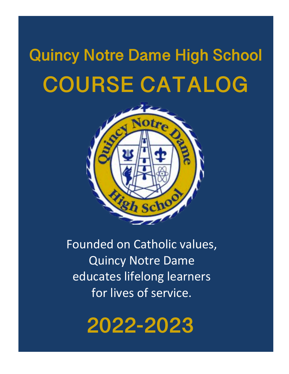# **Quincy Notre Dame High School COURSE CATALOG**



Founded on Catholic values, Quincy Notre Dame educates lifelong learners for lives of service.

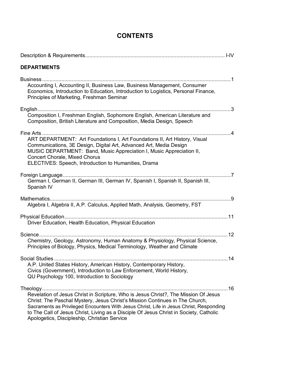# **CONTENTS**

| <b>DEPARTMENTS</b>                                                                                                                                                                                                                                                                                                                                                                                       |  |
|----------------------------------------------------------------------------------------------------------------------------------------------------------------------------------------------------------------------------------------------------------------------------------------------------------------------------------------------------------------------------------------------------------|--|
| Accounting I, Accounting II, Business Law, Business Management, Consumer<br>Economics, Introduction to Education, Introduction to Logistics, Personal Finance,<br>Principles of Marketing, Freshman Seminar                                                                                                                                                                                              |  |
| Composition I, Freshman English, Sophomore English, American Literature and<br>Composition, British Literature and Composition, Media Design, Speech                                                                                                                                                                                                                                                     |  |
| ART DEPARTMENT: Art Foundations I, Art Foundations II, Art History, Visual<br>Communications, 3E Design, Digital Art, Advanced Art, Media Design<br>MUSIC DEPARTMENT: Band, Music Appreciation I, Music Appreciation II,<br>Concert Chorale, Mixed Chorus<br>ELECTIVES: Speech, Introduction to Humanities, Drama                                                                                        |  |
| German I, German II, German III, German IV, Spanish I, Spanish II, Spanish III,<br>Spanish IV                                                                                                                                                                                                                                                                                                            |  |
| Algebra I, Algebra II, A.P. Calculus, Applied Math, Analysis, Geometry, FST                                                                                                                                                                                                                                                                                                                              |  |
| Driver Education, Health Education, Physical Education                                                                                                                                                                                                                                                                                                                                                   |  |
| Chemistry, Geology, Astronomy, Human Anatomy & Physiology, Physical Science,<br>Principles of Biology, Physics, Medical Terminology, Weather and Climate                                                                                                                                                                                                                                                 |  |
| A.P. United States History, American History, Contemporary History,<br>Civics (Government), Introduction to Law Enforcement, World History,<br>QU Psychology 100, Introduction to Sociology                                                                                                                                                                                                              |  |
| Revelation of Jesus Christ in Scripture, Who is Jesus Christ?, The Mission Of Jesus<br>Christ: The Paschal Mystery, Jesus Christ's Mission Continues in The Church,<br>Sacraments as Privileged Encounters With Jesus Christ, Life in Jesus Christ, Responding<br>to The Call of Jesus Christ, Living as a Disciple Of Jesus Christ in Society, Catholic<br>Apologetics, Discipleship, Christian Service |  |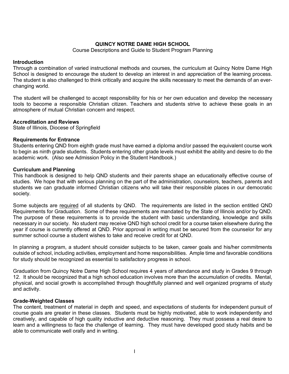# **QUINCY NOTRE DAME HIGH SCHOOL**

# Course Descriptions and Guide to Student Program Planning

# **Introduction**

Through a combination of varied instructional methods and courses, the curriculum at Quincy Notre Dame High School is designed to encourage the student to develop an interest in and appreciation of the learning process. The student is also challenged to think critically and acquire the skills necessary to meet the demands of an everchanging world.

The student will be challenged to accept responsibility for his or her own education and develop the necessary tools to become a responsible Christian citizen. Teachers and students strive to achieve these goals in an atmosphere of mutual Christian concern and respect.

# **Accreditation and Reviews**

State of Illinois, Diocese of Springfield

# **Requirements for Entrance**

Students entering QND from eighth grade must have earned a diploma and/or passed the equivalent course work to begin as ninth grade students. Students entering other grade levels must exhibit the ability and desire to do the academic work. (Also see Admission Policy in the Student Handbook.)

# **Curriculum and Planning**

This handbook is designed to help QND students and their parents shape an educationally effective course of studies. We hope that with serious planning on the part of the administration, counselors, teachers, parents and students we can graduate informed Christian citizens who will take their responsible places in our democratic society.

Some subjects are required of all students by QND. The requirements are listed in the section entitled QND Requirements for Graduation. Some of these requirements are mandated by the State of Illinois and/or by QND. The purpose of these requirements is to provide the student with basic understanding, knowledge and skills necessary in our society. No student may receive QND high school credit for a course taken elsewhere during the year if course is currently offered at QND. Prior approval in writing must be secured from the counselor for any summer school course a student wishes to take and receive credit for at QND.

In planning a program, a student should consider subjects to be taken, career goals and his/her commitments outside of school, including activities, employment and home responsibilities. Ample time and favorable conditions for study should be recognized as essential to satisfactory progress in school.

Graduation from Quincy Notre Dame High School requires 4 years of attendance and study in Grades 9 through 12. It should be recognized that a high school education involves more than the accumulation of credits. Mental, physical, and social growth is accomplished through thoughtfully planned and well organized programs of study and activity.

# **Grade-Weighted Classes**

The content, treatment of material in depth and speed, and expectations of students for independent pursuit of course goals are greater in these classes. Students must be highly motivated, able to work independently and creatively, and capable of high quality inductive and deductive reasoning. They must possess a real desire to learn and a willingness to face the challenge of learning. They must have developed good study habits and be able to communicate well orally and in writing.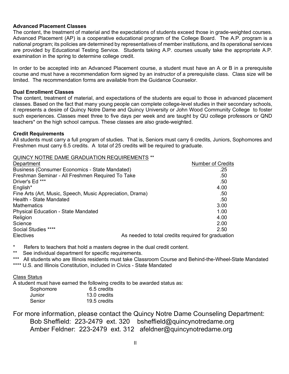# **Advanced Placement Classes**

The content, the treatment of material and the expectations of students exceed those in grade-weighted courses. Advanced Placement (AP) is a cooperative educational program of the College Board. The A.P. program is a national program; its policies are determined by representatives of member institutions, and its operational services are provided by Educational Testing Service. Students taking A.P. courses usually take the appropriate A.P. examination in the spring to determine college credit.

In order to be accepted into an Advanced Placement course, a student must have an A or B in a prerequisite course and must have a recommendation form signed by an instructor of a prerequisite class. Class size will be limited. The recommendation forms are available from the Guidance Counselor.

# **Dual Enrollment Classes**

The content, treatment of material, and expectations of the students are equal to those in advanced placement classes. Based on the fact that many young people can complete college-level studies in their secondary schools, it represents a desire of Quincy Notre Dame and Quincy University or John Wood Community College to foster such experiences. Classes meet three to five days per week and are taught by QU college professors or QND teachers\* on the high school campus. These classes are also grade-weighted.

# **Credit Requirements**

All students must carry a full program of studies. That is, Seniors must carry 6 credits, Juniors, Sophomores and Freshmen must carry 6.5 credits. A total of 25 credits will be required to graduate.

QUINCY NOTRE DAME GRADUATION REQUIREMENTS \*\*

| Department                                                | <b>Number of Credits</b>                           |
|-----------------------------------------------------------|----------------------------------------------------|
| Business (Consumer Economics - State Mandated)            | .25                                                |
| Freshman Seminar - All Freshmen Required To Take          | .50                                                |
| Driver's Ed ***                                           | .50                                                |
| English*                                                  | 4.00                                               |
| Fine Arts (Art, Music, Speech, Music Appreciation, Drama) | .50                                                |
| Health - State Mandated                                   | .50                                                |
| <b>Mathematics</b>                                        | 3.00                                               |
| <b>Physical Education - State Mandated</b>                | 1.00                                               |
| Religion                                                  | 4.00                                               |
| Science                                                   | 2.00                                               |
| Social Studies ****                                       | 2.50                                               |
| <b>Electives</b>                                          | As needed to total credits required for graduation |

\* Refers to teachers that hold a masters degree in the dual credit content.<br>\*\* See individual denartment for specific requirements

See individual department for specific requirements.

\*\*\* All students who are Illinois residents must take Classroom Course and Behind-the-Wheel-State Mandated \*\*\*\* U.S. and Illinois Constitution, included in Civics - State Mandated

Class Status

A student must have earned the following credits to be awarded status as:

| Sophomore | 6.5 credits  |
|-----------|--------------|
| Junior    | 13.0 credits |
| Senior    | 19.5 credits |

For more information, please contact the Quincy Notre Dame Counseling Department: Bob Sheffield: 223-2479 ext. 320 bsheffield@quincynotredame.org Amber Feldner: 223-2479 ext. 312 afeldner@quincynotredame.org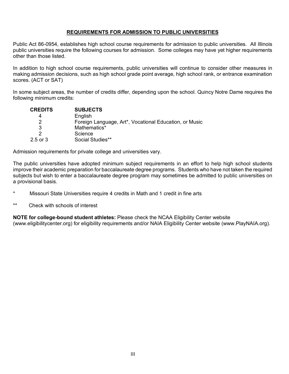# **REQUIREMENTS FOR ADMISSION TO PUBLIC UNIVERSITIES**

Public Act 86-0954, establishes high school course requirements for admission to public universities. All Illinois public universities require the following courses for admission. Some colleges may have yet higher requirements other than those listed.

In addition to high school course requirements, public universities will continue to consider other measures in making admission decisions, such as high school grade point average, high school rank, or entrance examination scores. (ACT or SAT)

In some subject areas, the number of credits differ, depending upon the school. Quincy Notre Dame requires the following minimum credits:

| <b>CREDITS</b> | <b>SUBJECTS</b>                                        |
|----------------|--------------------------------------------------------|
| 4              | English                                                |
| 2              | Foreign Language, Art*, Vocational Education, or Music |
| 3              | Mathematics*                                           |
| 2              | Science                                                |
| $2.5$ or $3$   | Social Studies**                                       |

Admission requirements for private college and universities vary.

The public universities have adopted minimum subject requirements in an effort to help high school students improve their academic preparation for baccalaureate degree programs. Students who have not taken the required subjects but wish to enter a baccalaureate degree program may sometimes be admitted to public universities on a provisional basis.

- \* Missouri State Universities require 4 credits in Math and 1 credit in fine arts
- \*\* Check with schools of interest

**NOTE for college-bound student athletes:** Please check the NCAA Eligibility Center website (www.eligibilitycenter.org) for eligibility requirements and/or NAIA Eligibility Center website (www.PlayNAIA.org).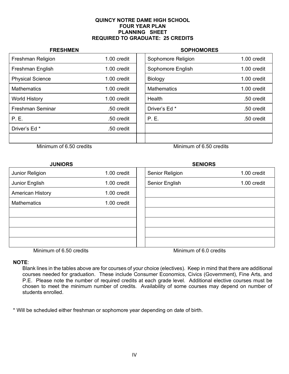# **QUINCY NOTRE DAME HIGH SCHOOL FOUR YEAR PLAN PLANNING SHEET REQUIRED TO GRADUATE: 25 CREDITS**

# **FRESHMEN** SOPHOMORES Freshman Religion 1.00 credit | Sophomore Religion 1.00 credit Freshman English 1.00 credit | Sophomore English 1.00 credit | Sophomore English 1.00 credit Physical Science 1.00 credit | Biology 1.00 credit | 1.00 credit Mathematics 1.00 credit Mathematics 1.00 credit World History **1.00 credit | Health .50 credit .50 credit** .50 credit .50 credit Freshman Seminar .50 credit Driver's Ed \* .50 credit P. E. .50 credit P. E. .50 credit Driver's Ed \* .50 credit

Minimum of 6.50 credits Minimum of 6.50 credits

| <b>JUNIORS</b>          |             | <b>SENIORS</b>         |             |
|-------------------------|-------------|------------------------|-------------|
| Junior Religion         | 1.00 credit | Senior Religion        | 1.00 credit |
| Junior English          | 1.00 credit | Senior English         | 1.00 credit |
| <b>American History</b> | 1.00 credit |                        |             |
| <b>Mathematics</b>      | 1.00 credit |                        |             |
|                         |             |                        |             |
|                         |             |                        |             |
|                         |             |                        |             |
|                         |             |                        |             |
| Minimum of 6.50 credits |             | Minimum of 6.0 credits |             |

# **NOTE**:

Blank lines in the tables above are for courses of your choice (electives). Keep in mind that there are additional courses needed for graduation. These include Consumer Economics, Civics (Government), Fine Arts, and P.E. Please note the number of required credits at each grade level. Additional elective courses must be chosen to meet the minimum number of credits. Availability of some courses may depend on number of students enrolled.

\* Will be scheduled either freshman or sophomore year depending on date of birth.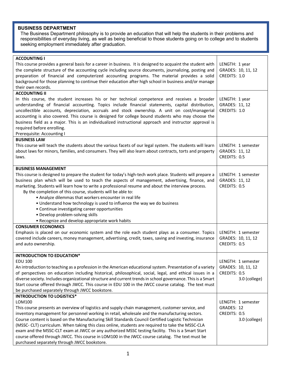# **BUSINESS DEPARTMENT**

The Business Department philosophy is to provide an education that will help the students in their problems and responsibilities of everyday living, as well as being beneficial to those students going on to college and to students seeking employment immediately after graduation.

| <b>ACCOUNTING I</b><br>This course provides a general basis for a career in business. It is designed to acquaint the student with<br>the complete structure of the accounting cycle including source documents, journalizing, posting and<br>preparation of financial and computerized accounting programs. The material provides a solid<br>background for those planning to continue their education after high school in business and/or manage<br>their own records.                                                                                                                                                                                                        | LENGTH: 1 year<br>GRADES: 10, 11, 12<br>CREDITS: 1.0                      |
|---------------------------------------------------------------------------------------------------------------------------------------------------------------------------------------------------------------------------------------------------------------------------------------------------------------------------------------------------------------------------------------------------------------------------------------------------------------------------------------------------------------------------------------------------------------------------------------------------------------------------------------------------------------------------------|---------------------------------------------------------------------------|
| <b>ACCOUNTING II</b>                                                                                                                                                                                                                                                                                                                                                                                                                                                                                                                                                                                                                                                            |                                                                           |
| In this course, the student increases his or her technical competence and receives a broader<br>understanding of financial accounting. Topics include financial statements, capital distribution,<br>uncollectible accounts, depreciation, accruals and stock ownership. A unit on cost/managerial<br>accounting is also covered. This course is designed for college bound students who may choose the<br>business field as a major. This is an individualized instructional approach and instructor approval is<br>required before enrolling.<br>Prerequisite: Accounting I                                                                                                   | LENGTH: 1 year<br>GRADES: 11, 12<br>CREDITS: 1.0                          |
| <b>BUSINESS LAW</b>                                                                                                                                                                                                                                                                                                                                                                                                                                                                                                                                                                                                                                                             |                                                                           |
| This course will teach the students about the various facets of our legal system. The students will learn<br>about laws for minors, families, and consumers. They will also learn about contracts, torts and property<br>laws.                                                                                                                                                                                                                                                                                                                                                                                                                                                  | LENGTH: 1 semester<br>GRADES: 11, 12<br>CREDITS: 0.5                      |
| <b>BUSINESS MANAGEMENT</b>                                                                                                                                                                                                                                                                                                                                                                                                                                                                                                                                                                                                                                                      |                                                                           |
| This course is designed to prepare the student for today's high-tech work place. Students will prepare a<br>business plan which will be used to teach the aspects of management, advertising, finance, and<br>marketing. Students will learn how to write a professional resume and about the interview process.<br>By the completion of this course, students will be able to:<br>• Analyze dilemmas that workers encounter in real life<br>• Understand how technology is used to influence the way we do business<br>• Continue investigating career opportunities<br>· Develop problem-solving skills                                                                       | LENGTH: 1 semester<br>GRADES: 11, 12<br>CREDITS: 0.5                      |
| • Recognize and develop appropriate work habits                                                                                                                                                                                                                                                                                                                                                                                                                                                                                                                                                                                                                                 |                                                                           |
| <b>CONSUMER ECONOMICS</b><br>Emphasis is placed on our economic system and the role each student plays as a consumer. Topics<br>covered include careers, money management, advertising, credit, taxes, saving and investing, insurance<br>and auto ownership.                                                                                                                                                                                                                                                                                                                                                                                                                   | LENGTH: 1 semester<br>GRADES: 10, 11, 12<br>CREDITS: 0.5                  |
| <b>INTRODUCTION TO EDUCATION*</b>                                                                                                                                                                                                                                                                                                                                                                                                                                                                                                                                                                                                                                               |                                                                           |
| <b>EDU 100</b><br>An introduction to teaching as a profession in the American educational system. Presentation of a variety<br>of perspectives on education including historical, philosophical, social, legal, and ethical issues in a<br>diverse society. Includes organizational structure and current trends in school governance. This is a Smart<br>Start course offered through JWCC. This course in EDU 100 in the JWCC course catalog. The text must<br>be purchased separately through JWCC bookstore.                                                                                                                                                                | LENGTH: 1 semester<br>GRADES: 10, 11, 12<br>CREDITS: 0.5<br>3.0 (college) |
| <b>INTRODUCTION TO LOGISTICS*</b>                                                                                                                                                                                                                                                                                                                                                                                                                                                                                                                                                                                                                                               |                                                                           |
| LOM100<br>This course presents an overview of logistics and supply chain management, customer service, and<br>inventory management for personnel working in retail, wholesale and the manufacturing sectors.<br>Course content is based on the Manufacturing Skill Standards Council Certified Logistic Technician<br>(MSSC- CLT) curriculum. When taking this class online, students are required to take the MSSC-CLA<br>exam and the MSSC-CLT exam at JWCC or any authorized MSSC testing facility. This is a Smart Start<br>course offered through JWCC. This course in LOM100 in the JWCC course catalog. The text must be<br>purchased separately through JWCC bookstore. | LENGTH: 1 semester<br>GRADES: 12<br>CREDITS: 0.5<br>3.0 (college)         |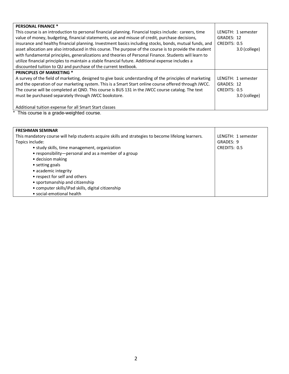| <b>PERSONAL FINANCE *</b>                                                                                |                    |
|----------------------------------------------------------------------------------------------------------|--------------------|
| This course is an introduction to personal financial planning. Financial topics include: careers, time   | LENGTH: 1 semester |
| value of money, budgeting, financial statements, use and misuse of credit, purchase decisions,           | GRADES: 12         |
| insurance and healthy financial planning. Investment basics including stocks, bonds, mutual funds, and   | CREDITS: 0.5       |
| asset allocation are also introduced in this course. The purpose of the course is to provide the student | 3.0 (college)      |
| with fundamental principles, generalizations and theories of Personal Finance. Students will learn to    |                    |
| utilize financial principles to maintain a stable financial future. Additional expense includes a        |                    |
| discounted tuition to QU and purchase of the current textbook.                                           |                    |
| <b>PRINCIPLES OF MARKETING *</b>                                                                         |                    |
| A survey of the field of marketing, designed to give basic understanding of the principles of marketing  | LENGTH: 1 semester |
| and the operation of our marketing system. This is a Smart Start online course offered through JWCC.     | GRADES: 12         |
| The course will be completed at QND. This course is BUS 131 in the JWCC course catalog. The text         | CREDITS: 0.5       |
| must be purchased separately through JWCC bookstore.                                                     | 3.0 (college)      |
|                                                                                                          |                    |
| Additional tuition expense for all Smart Start classes                                                   |                    |

| <b>FRESHMAN SEMINAR</b>                                                                             |                    |
|-----------------------------------------------------------------------------------------------------|--------------------|
| This mandatory course will help students acquire skills and strategies to become lifelong learners. | LENGTH: 1 semester |
| Topics include:                                                                                     | GRADES: 9          |
| • study skills, time management, organization                                                       | CREDITS: 0.5       |
| • responsibility-personal and as a member of a group                                                |                    |
| • decision making                                                                                   |                    |
| • setting goals                                                                                     |                    |
| • academic integrity                                                                                |                    |
| • respect for self and others                                                                       |                    |
| • sportsmanship and citizenship                                                                     |                    |
| • computer skills/iPad skills, digital citizenship                                                  |                    |
| • social-emotional health                                                                           |                    |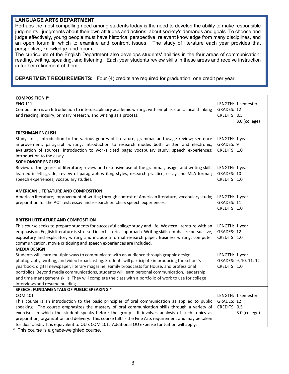# **LANGUAGE ARTS DEPARTMENT**

Perhaps the most compelling need among students today is the need to develop the ability to make responsible judgments: judgments about their own attitudes and actions, about society's demands and goals. To choose and judge effectively, young people must have historical perspective, relevant knowledge from many disciplines, and an open forum in which to examine and confront issues. The study of literature each year provides that perspective, knowledge, and forum.

The curriculum of the English Department also develops students' abilities in the four areas of communication: reading, writing, speaking, and listening. Each year students review skills in these areas and receive instruction in further refinement of them.

**DEPARTMENT REQUIREMENTS:** Four (4) credits are required for graduation; one credit per year.

| <b>COMPOSITION I*</b><br><b>ENG 111</b><br>Composition is an Introduction to interdisciplinary academic writing, with emphasis on critical thinking<br>and reading, inquiry, primary research, and writing as a process.                                                                                                                                                                                                                                                                                                                       | LENGTH: 1 semester<br>GRADES: 12<br>CREDITS: 0.5<br>3.0 (college) |
|------------------------------------------------------------------------------------------------------------------------------------------------------------------------------------------------------------------------------------------------------------------------------------------------------------------------------------------------------------------------------------------------------------------------------------------------------------------------------------------------------------------------------------------------|-------------------------------------------------------------------|
| <b>FRESHMAN ENGLISH</b><br>Study skills, introduction to the various genres of literature; grammar and usage review; sentence                                                                                                                                                                                                                                                                                                                                                                                                                  | LENGTH: 1 year                                                    |
| improvement; paragraph writing; introduction to research modes both written and electronic;<br>evaluation of sources; introduction to works cited page; vocabulary study; speech experiences;<br>introduction to the essay.                                                                                                                                                                                                                                                                                                                    | GRADES: 9<br>CREDITS: 1.0                                         |
| <b>SOPHOMORE ENGLISH</b>                                                                                                                                                                                                                                                                                                                                                                                                                                                                                                                       |                                                                   |
| Review of the genres of literature; review and extensive use of the grammar, usage, and writing skills<br>learned in 9th grade; review of paragraph writing styles, research practice, essay and MLA format;<br>speech experiences; vocabulary studies.                                                                                                                                                                                                                                                                                        | LENGTH: 1 year<br>GRADES: 10<br>CREDITS: 1.0                      |
| AMERICAN LITERATURE AND COMPOSITION                                                                                                                                                                                                                                                                                                                                                                                                                                                                                                            |                                                                   |
| American literature; improvement of writing through context of American literature; vocabulary study;<br>preparation for the ACT test; essay and research practice; speech experiences.                                                                                                                                                                                                                                                                                                                                                        | LENGTH: 1 year<br>GRADES: 11<br>CREDITS: 1.0                      |
| <b>BRITISH LITERATURE AND COMPOSITION</b>                                                                                                                                                                                                                                                                                                                                                                                                                                                                                                      |                                                                   |
| This course seeks to prepare students for successful college study and life. Western literature with an<br>emphasis on English literature is stressed in an historical approach. Writing skills emphasize persuasive,<br>expository and explicatory writing and include a formal research paper. Business writing, computer<br>communication, movie critiquing and speech experiences are included.                                                                                                                                            | LENGTH: 1 year<br>GRADES: 12<br>CREDITS: 1.0                      |
| <b>MEDIA DESIGN</b>                                                                                                                                                                                                                                                                                                                                                                                                                                                                                                                            |                                                                   |
| Students will learn multiple ways to communicate with an audience through graphic design,<br>photography, writing, and video broadcasting. Students will participate in producing the school's<br>yearbook, digital newspaper, literary magazine, Family broadcasts for House, and professional<br>portfolios. Beyond media communications, students will learn personal communication, leadership,<br>and time management skills. They will complete the class with a portfolio of work to use for college<br>interviews and resume building. | LENGTH: 1 year<br>GRADES: 9, 10, 11, 12<br>CREDITS: 1.0           |
| SPEECH: FUNDAMENTALS OF PUBLIC SPEAKING *                                                                                                                                                                                                                                                                                                                                                                                                                                                                                                      |                                                                   |
| <b>COM 101</b><br>This course is an introduction to the basic principles of oral communication as applied to public<br>speaking. The course emphasizes the mastery of oral communication skills through a variety of<br>exercises in which the student speaks before the group. It involves analysis of such topics as<br>preparation, organization and delivery. This course fulfills the Fine Arts requirement and may be taken                                                                                                              | LENGTH: 1 semester<br>GRADES: 12<br>CREDITS: 0.5<br>3.0 (college) |
| for dual credit. It is equivalent to QU's COM 101. Additional QU expense for tuition will apply.                                                                                                                                                                                                                                                                                                                                                                                                                                               |                                                                   |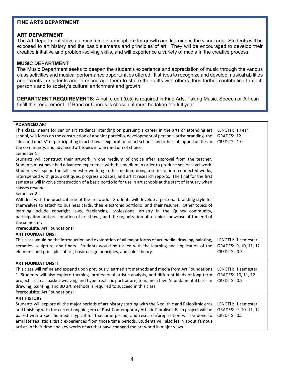# **FINE ARTS DEPARTMENT**

# **ART DEPARTMENT**

The Art Department strives to maintain an atmosphere for growth and learning in the visual arts. Students will be exposed to art history and the basic elements and principles of art. They will be encouraged to develop their creative initiative and problem-solving skills, and will experience a variety of media in the creative process.

# **MUSIC DEPARTMENT**

The Music Department seeks to deepen the student's experience and appreciation of music through the various class activities and musical performance opportunities offered. It strives to recognize and develop musical abilities and talents in students and to encourage them to share their gifts with others, thus further contributing to each person's and to society's cultural enrichment and growth.

**DEPARTMENT REQUIREMENTS:** A half credit (0.5) is required in Fine Arts. Taking Music, Speech or Art can fulfill this requirement. If Band or Chorus is chosen, it must be taken the full year.

| <b>ADVANCED ART</b>                                                                                         |                       |
|-------------------------------------------------------------------------------------------------------------|-----------------------|
| This class, meant for senior art students intending on pursuing a career in the arts or attending art       | LENGTH: 1 Year        |
| school, will focus on the construction of a senior portfolio, development of personal artist branding, the  | GRADES: 12            |
| "dos and don'ts" of participating in art shows, exploration of art schools and other job opportunities in   | CREDITS: 1.0          |
| the community, and advanced art topics in one medium of choice.                                             |                       |
| Semester 1:                                                                                                 |                       |
| Students will construct their artwork in one medium of choice after approval from the teacher.              |                       |
| Students must have had advanced experience with this medium in order to produce senior-level work.          |                       |
| Students will spend the fall semester working in this medium doing a series of interconnected works,        |                       |
| interspersed with group critiques, progress updates, and artist research reports. The final for the first   |                       |
| semester will involve construction of a basic portfolio for use in art schools at the start of January when |                       |
| classes resume.                                                                                             |                       |
| Semester 2:                                                                                                 |                       |
| Will deal with the practical side of the art world. Students will develop a personal branding style for     |                       |
| themselves to attach to business cards, their electronic portfolio, and their resume. Other topics of       |                       |
| learning include copyright laws, freelancing, professional artistry in the Quincy community,                |                       |
| participation and presentation of art shows, and the organization of a senior showcase at the end of        |                       |
| the semester.                                                                                               |                       |
| Prerequisite: Art Foundations I.                                                                            |                       |
| <b>ART FOUNDATIONS I</b>                                                                                    |                       |
| This class would be the introduction and exploration of all major forms of art media: drawing, painting,    | LENGTH: 1 semester    |
| ceramics, sculpture, and fibers. Students would be tasked with the learning and application of the          | GRADES: 9, 10, 11, 12 |
| elements and principles of art, basic design principles, and color theory.                                  | CREDITS: 0.5          |
|                                                                                                             |                       |
| <b>ART FOUNDATIONS II</b>                                                                                   |                       |
| This class will refine and expand upon previously learned art methods and media from Art Foundations        | LENGTH: 1 semester    |
| 1. Students will also explore theming, professional artistic analysis, and different kinds of long-term     | GRADES: 10, 11, 12    |
| projects such as basket-weaving and hyper realistic portraiture, to name a few. A fundamental basis in      | CREDITS: 0.5          |
| drawing, painting, and 3D art methods is required to succeed in this class.                                 |                       |
| Prerequisite: Art Foundations I.                                                                            |                       |
| <b>ART HISTORY</b>                                                                                          |                       |
| Students will explore all the major periods of art history starting with the Neolithic and Paleolithic eras | LENGTH: 1 semester    |
| and finishing with the current ongoing era of Post-Contemporary Artistic Pluralism. Each project will be    | GRADES: 9, 10, 11, 12 |
| paired with a specific media typical for that time period, and research/preparation will be done to         | CREDITS: 0.5          |
| emulate realistic artistic experiences from those time periods. Students will also learn about famous       |                       |
| artists in their time and key works of art that have changed the art world in major ways.                   |                       |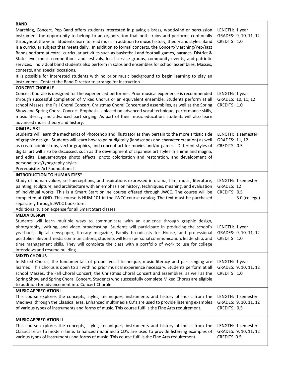| <b>BAND</b>                                                                                                                                                                                                                                                                                                                                                                                                                                                                                                                                                                                                                                                                                                                                                                                  |                                                                   |
|----------------------------------------------------------------------------------------------------------------------------------------------------------------------------------------------------------------------------------------------------------------------------------------------------------------------------------------------------------------------------------------------------------------------------------------------------------------------------------------------------------------------------------------------------------------------------------------------------------------------------------------------------------------------------------------------------------------------------------------------------------------------------------------------|-------------------------------------------------------------------|
| Marching, Concert, Pep Band offers students interested in playing a brass, woodwind or percussion<br>instrument the opportunity to belong to an organization that both trains and performs continually<br>throughout the year. Students learn to read music in addition to music history, theory and styles. Band<br>is a curricular subject that meets daily. In addition to formal concerts, the Concert/Marching/Pep/Jazz<br>Bands perform at extra- curricular activities such as basketball and football games, parades, District &<br>State level music competitions and festivals, local service groups, community events, and patriotic<br>services. Individual band students also perform in solos and ensembles for school assemblies, Masses,<br>contests, and special occasions. | LENGTH: 1 year<br>GRADES: 9, 10, 11, 12<br>CREDITS: 1.0           |
| It is possible for interested students with no prior music background to begin learning to play an<br>instrument. Contact the Band Director to arrange for instruction.                                                                                                                                                                                                                                                                                                                                                                                                                                                                                                                                                                                                                      |                                                                   |
| <b>CONCERT CHORALE</b>                                                                                                                                                                                                                                                                                                                                                                                                                                                                                                                                                                                                                                                                                                                                                                       |                                                                   |
| Concert Chorale is designed for the experienced performer. Prior musical experience is recommended<br>through successful completion of Mixed Chorus or an equivalent ensemble. Students perform at all<br>school Masses, the Fall Choral Concert, Christmas Choral Concert and assemblies, as well as the Spring<br>Show and Spring Choral Concert. Emphasis is placed on advanced vocal technique, performance skills,<br>music literacy and advanced part singing. As part of their music education, students will also learn<br>advanced music theory and history.                                                                                                                                                                                                                        | LENGTH: 1 year<br>GRADES: 10, 11, 12<br>CREDITS: 1.0              |
| <b>DIGITAL ART</b>                                                                                                                                                                                                                                                                                                                                                                                                                                                                                                                                                                                                                                                                                                                                                                           |                                                                   |
| Students will learn the mechanics of Photoshop and Illustrator as they pertain to the more artistic side<br>of graphic design. Students will learn how to paint digitally (landscapes and character creation) as well<br>as create comic strips, vector graphics, and concept art for movies and/or games. Different styles of<br>digital art will also be discussed, such as the development of Japanese art styles in anime and magna,<br>and edits, Daguerreotype photo effects, photo colorization and restoration, and development of<br>personal text/typography styles.<br>Prerequisite: Art Foundations I.                                                                                                                                                                           | LENGTH: 1 semester<br>GRADES: 11, 12<br>CREDITS: 0.5              |
| <b>INTRODUCTION TO HUMANITIES*</b>                                                                                                                                                                                                                                                                                                                                                                                                                                                                                                                                                                                                                                                                                                                                                           |                                                                   |
| Study of human values, self-perceptions, and aspirations expressed in drama, film, music, literature,<br>painting, sculpture, and architecture with an emphasis on history, techniques, meaning, and evaluation<br>of individual works. This is a Smart Start online course offered through JWCC. The course will be<br>completed at QND. This course is HUM 101 in the JWCC course catalog. The text must be purchased<br>separately through JWCC bookstore.                                                                                                                                                                                                                                                                                                                                | LENGTH: 1 semester<br>GRADES: 12<br>CREDITS: 0.5<br>3.0 (college) |
| Additional tuition expense for all Smart Start classes                                                                                                                                                                                                                                                                                                                                                                                                                                                                                                                                                                                                                                                                                                                                       |                                                                   |
| <b>MEDIA DESIGN</b><br>Students will learn multiple ways to communicate with an audience through graphic design,<br>photography, writing, and video broadcasting. Students will participate in producing the school's<br>yearbook, digital newspaper, literary magazine, Family broadcasts for House, and professional GRADES: 9, 10, 11, 12<br>portfolios. Beyond media communications, students will learn personal communication, leadership, and<br>time management skills. They will complete the class with a portfolio of work to use for college<br>interviews and resume building.                                                                                                                                                                                                  | LENGTH: 1 year<br>CREDITS: 1.0                                    |
| <b>MIXED CHORUS</b>                                                                                                                                                                                                                                                                                                                                                                                                                                                                                                                                                                                                                                                                                                                                                                          |                                                                   |
| In Mixed Chorus, the fundamentals of proper vocal technique, music literacy and part singing are<br>learned. This chorus is open to all with no prior musical experience necessary. Students perform at all<br>school Masses, the Fall Choral Concert, the Christmas Choral Concert and assemblies, as well as the<br>Spring Show and Spring Choral Concert. Students who successfully complete Mixed Chorus are eligible<br>to audition for advancement into Concert Chorale.                                                                                                                                                                                                                                                                                                               | LENGTH: 1 year<br>GRADES: 9, 10, 11, 12<br>CREDITS: 1.0           |
| <b>MUSIC APPRECIATION I</b>                                                                                                                                                                                                                                                                                                                                                                                                                                                                                                                                                                                                                                                                                                                                                                  |                                                                   |
| This course explores the concepts, styles, techniques, instruments and history of music from the<br>Medieval through the Classical eras. Enhanced multimedia CD's are used to provide listening examples<br>of various types of instruments and forms of music. This course fulfills the Fine Arts requirement.                                                                                                                                                                                                                                                                                                                                                                                                                                                                              | LENGTH: 1 semester<br>GRADES: 9, 10, 11, 12<br>CREDITS: 0.5       |
| <b>MUSIC APPRECIATION II</b>                                                                                                                                                                                                                                                                                                                                                                                                                                                                                                                                                                                                                                                                                                                                                                 |                                                                   |
| This course explores the concepts, styles, techniques, instruments and history of music from the<br>Classical eras to modern time. Enhanced multimedia CD's are used to provide listening examples of<br>various types of instruments and forms of music. This course fulfills the Fine Arts requirement.                                                                                                                                                                                                                                                                                                                                                                                                                                                                                    | LENGTH: 1 semester<br>GRADES: 9, 10, 11, 12<br>CREDITS: 0.5       |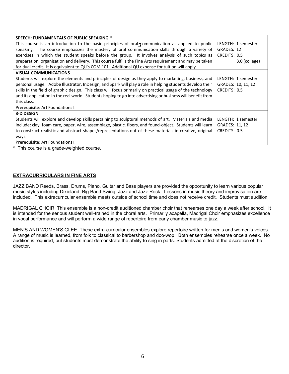| SPEECH: FUNDAMENTALS OF PUBLIC SPEAKING *                                                                   |                    |
|-------------------------------------------------------------------------------------------------------------|--------------------|
| This course is an introduction to the basic principles of oral communication as applied to public           | LENGTH: 1 semester |
| speaking. The course emphasizes the mastery of oral communication skills through a variety of               | GRADES: 12         |
| exercises in which the student speaks before the group. It involves analysis of such topics as              | CREDITS: 0.5       |
| preparation, organization and delivery. This course fulfills the Fine Arts requirement and may be taken     | 3.0 (college)      |
| for dual credit. It is equivalent to QU's COM 101. Additional QU expense for tuition will apply.            |                    |
| <b>VISUAL COMMUNICATIONS</b>                                                                                |                    |
| Students will explore the elements and principles of design as they apply to marketing, business, and       | LENGTH: 1 semester |
| personal usage. Adobe Illustrator, InDesign, and Spark will play a role in helping students develop their   | GRADES: 10, 11, 12 |
| skills in the field of graphic design. This class will focus primarily on practical usage of the technology | CREDITS: 0.5       |
| and its application in the real world. Students hoping to go into advertising or business will benefit from |                    |
| this class.                                                                                                 |                    |
| Prerequisite: Art Foundations I.                                                                            |                    |
| <b>3-D DESIGN</b>                                                                                           |                    |
| Students will explore and develop skills pertaining to sculptural methods of art. Materials and media       | LENGTH: 1 semester |
| include: clay, foam care, paper, wire, assemblage, plastic, fibers, and found-object. Students will learn   | GRADES: 11, 12     |
| to construct realistic and abstract shapes/representations out of these materials in creative, original     | CREDITS: 0.5       |
| ways.                                                                                                       |                    |
| Prerequisite: Art Foundations I.                                                                            |                    |

# **EXTRACURRICULARS IN FINE ARTS**

JAZZ BAND Reeds, Brass, Drums, Piano, Guitar and Bass players are provided the opportunity to learn various popular music styles including Dixieland, Big Band Swing, Jazz and Jazz-Rock. Lessons in music theory and improvisation are included. This extracurricular ensemble meets outside of school time and does not receive credit. Students must audition.

MADRIGAL CHOIR This ensemble is a non-credit auditioned chamber choir that rehearses one day a week after school. It is intended for the serious student well-trained in the choral arts. Primarily acapella, Madrigal Choir emphasizes excellence in vocal performance and will perform a wide range of repertoire from early chamber music to jazz.

MEN'S AND WOMEN'S GLEE These extra-curricular ensembles explore repertoire written for men's and women's voices. A range of music is learned, from folk to classical to barbershop and doo-wop. Both ensembles rehearse once a week. No audition is required, but students must demonstrate the ability to sing in parts. Students admitted at the discretion of the director.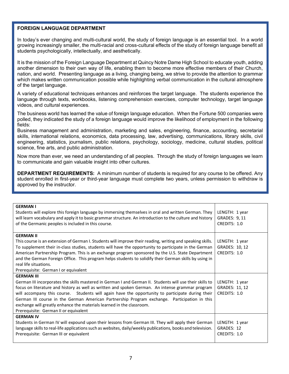# **FOREIGN LANGUAGE DEPARTMENT**

In today's ever changing and multi-cultural world, the study of foreign language is an essential tool. In a world growing increasingly smaller, the multi-racial and cross-cultural effects of the study of foreign language benefit all students psychologically, intellectually, and aesthetically.

It is the mission of the Foreign Language Department at Quincy Notre Dame High School to educate youth, adding another dimension to their own way of life, enabling them to become more effective members of their Church, nation, and world. Presenting language as a living, changing being, we strive to provide the attention to grammar which makes written communication possible while highlighting verbal communication in the cultural atmosphere of the target language.

A variety of educational techniques enhances and reinforces the target language. The students experience the language through texts, workbooks, listening comprehension exercises, computer technology, target language videos, and cultural experiences.

The business world has learned the value of foreign language education. When the Fortune 500 companies were polled, they indicated the study of a foreign language would improve the likelihood of employment in the following fields:

Business management and administration, marketing and sales, engineering, finance, accounting, secretarial skills, international relations, economics, data processing, law, advertising, communications, library skills, civil engineering, statistics, journalism, public relations, psychology, sociology, medicine, cultural studies, political science, fine arts, and public administration.

Now more than ever, we need an understanding of all peoples. Through the study of foreign languages we learn to communicate and gain valuable insight into other cultures.

**DEPARTMENT REQUIREMENTS:** A minimum number of students is required for any course to be offered. Any student enrolled in first-year or third-year language must complete two years, unless permission to withdraw is approved by the instructor.

| <b>GERMAN I</b><br>Students will explore this foreign language by immersing themselves in oral and written German. They | LENGTH: 1 year |
|-------------------------------------------------------------------------------------------------------------------------|----------------|
| will learn vocabulary and apply it to basic grammar structure. An introduction to the culture and history               | GRADES: 9, 11  |
| of the Germanic peoples is included in this course.                                                                     | CREDITS: 1.0   |
| <b>GERMAN II</b>                                                                                                        |                |
| This course is an extension of German I. Students will improve their reading, writing and speaking skills.              | LENGTH: 1 year |
| To supplement their in-class studies, students will have the opportunity to participate in the German                   | GRADES: 10, 12 |
| American Partnership Program. This is an exchange program sponsored by the U.S. State Department                        | CREDITS: 1.0   |
| and the German Foreign Office. This program helps students to solidify their German skills by using in                  |                |
| real life situations.                                                                                                   |                |
| Prerequisite: German I or equivalent                                                                                    |                |
| <b>GERMAN III</b>                                                                                                       |                |
| German III incorporates the skills mastered in German I and German II. Students will use their skills to                | LENGTH: 1 year |
| focus on literature and history as well as written and spoken German. An intense grammar program                        | GRADES: 11, 12 |
| will accompany this course.  Students will again have the opportunity to participate during their                       | CREDITS: 1.0   |
| German III course in the German American Partnership Program exchange. Participation in this                            |                |
| exchange will greatly enhance the materials learned in the classroom.                                                   |                |
| Prerequisite: German II or equivalent                                                                                   |                |
| <b>GERMAN IV</b>                                                                                                        |                |
| Students in German IV will expound upon their lessons from German III. They will apply their German                     | LENGTH: 1 year |
| language skills to real-life applications such as websites, daily/weekly publications, books and television.            | GRADES: 12     |
| Prerequisite: German III or equivalent                                                                                  | CREDITS: 1.0   |
|                                                                                                                         |                |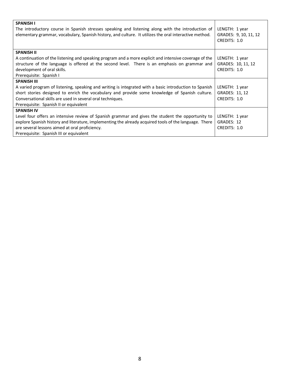| <b>SPANISH I</b>                                                                                       |                       |
|--------------------------------------------------------------------------------------------------------|-----------------------|
| The introductory course in Spanish stresses speaking and listening along with the introduction of      | LENGTH: 1 year        |
| elementary grammar, vocabulary, Spanish history, and culture. It utilizes the oral interactive method. | GRADES: 9, 10, 11, 12 |
|                                                                                                        | CREDITS: 1.0          |
|                                                                                                        |                       |
| <b>SPANISH II</b>                                                                                      |                       |
| A continuation of the listening and speaking program and a more explicit and intensive coverage of the | LENGTH: 1 year        |
| structure of the language is offered at the second level. There is an emphasis on grammar and          | GRADES: 10, 11, 12    |
| development of oral skills.                                                                            | CREDITS: 1.0          |
| Prerequisite: Spanish I                                                                                |                       |
| <b>SPANISH III</b>                                                                                     |                       |
| A varied program of listening, speaking and writing is integrated with a basic introduction to Spanish | LENGTH: 1 year        |
| short stories designed to enrich the vocabulary and provide some knowledge of Spanish culture.         | GRADES: 11, 12        |
| Conversational skills are used in several oral techniques.                                             | CREDITS: 1.0          |
| Prerequisite: Spanish II or equivalent                                                                 |                       |
| <b>SPANISH IV</b>                                                                                      |                       |
| Level four offers an intensive review of Spanish grammar and gives the student the opportunity to      | LENGTH: 1 year        |
| explore Spanish history and literature, implementing the already acquired tools of the language. There | GRADES: 12            |
| are several lessons aimed at oral proficiency.                                                         | CREDITS: 1.0          |
| Prerequisite: Spanish III or equivalent                                                                |                       |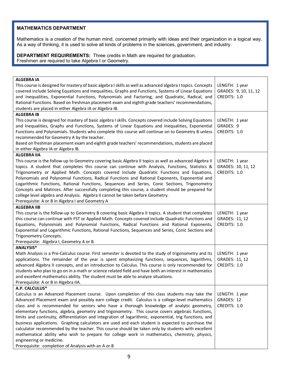# **MATHEMATICS DEPARTMENT**

Mathematics is a creation of the human mind, concerned primarily with ideas and their organization in a logical way. As a way of thinking, it is used to solve all kinds of problems in the sciences, government, and industry.

**DEPARTMENT REQUIREMENTS:** Three credits in Math are required for graduation. Freshmen are required to take Algebra I or Geometry.

| <b>ALGEBRA IA</b><br>This course is designed for mastery of basic algebra I skills as well as advanced algebra I topics. Concepts<br>covered include Solving Equations and Inequalities, Graphs and Functions, Systems of Linear Equations<br>and Inequalities, Exponential Functions, Polynomials and Factoring, and Quadratic, Radical, and<br>Rational Functions. Based on freshman placement exam and eighth grade teachers' recommendations,<br>students are placed in either Algebra IA or Algebra IB.                                                                                                                                                                                                                                                                                                                                                                                                  | LENGTH: 1 year<br>GRADES: 9, 10, 11, 12<br>CREDITS: 1.0 |
|---------------------------------------------------------------------------------------------------------------------------------------------------------------------------------------------------------------------------------------------------------------------------------------------------------------------------------------------------------------------------------------------------------------------------------------------------------------------------------------------------------------------------------------------------------------------------------------------------------------------------------------------------------------------------------------------------------------------------------------------------------------------------------------------------------------------------------------------------------------------------------------------------------------|---------------------------------------------------------|
| <b>ALGEBRA IB</b>                                                                                                                                                                                                                                                                                                                                                                                                                                                                                                                                                                                                                                                                                                                                                                                                                                                                                             |                                                         |
| This course is designed for mastery of basic algebra I skills. Concepts covered include Solving Equations<br>and Inequalities, Graphs and Functions, Systems of Linear Equations and Inequalities, Exponential<br>Functions and Polynomials. Students who complete this course will continue on to Geometry B unless<br>recommended for Geometry A by the teacher.<br>Based on freshman placement exam and eighth grade teachers' recommendations, students are placed<br>in either Algebra IA or Algebra IB.                                                                                                                                                                                                                                                                                                                                                                                                 | LENGTH: 1 year<br>GRADES: 9<br>CREDITS: 1.0             |
| <b>ALGEBRA IIA</b>                                                                                                                                                                                                                                                                                                                                                                                                                                                                                                                                                                                                                                                                                                                                                                                                                                                                                            |                                                         |
| This course is the follow-up to Geometry covering basic Algebra II topics as well as advanced Algebra II<br>topics. A student that completes this course can continue with Analysis, Functions, Statistics &<br>Trigonometry or Applied Math. Concepts covered include Quadratic Functions and Equations,<br>Polynomials and Polynomial Functions, Radical Functions and Rational Exponents, Exponential and<br>Logarithmic Functions, Rational Functions, Sequences and Series, Conic Sections, Trigonometry<br>Concepts and Matrices. After successfully completing this course, a student should be prepared for<br>college level algebra and Analysis. Algebra II cannot be taken before Geometry.<br>Prerequisite: A or B in Algebra I and Geometry A                                                                                                                                                    | LENGTH: 1 year<br>GRADES: 10, 11, 12<br>CREDITS: 1.0    |
| <b>ALGEBRA IIB</b>                                                                                                                                                                                                                                                                                                                                                                                                                                                                                                                                                                                                                                                                                                                                                                                                                                                                                            |                                                         |
| This course is the follow-up to Geometry B covering basic Algebra II topics. A student that completes<br>this course can continue with FST or Applied Math. Concepts covered include Quadratic Functions and<br>Equations, Polynomials and Polynomial Functions, Radical Functions and Rational Exponents,<br>Exponential and Logarithmic Functions, Rational Functions, Sequences and Series, Conic Sections and<br><b>Trigonometry Concepts.</b><br>Prerequisite: Algebra I, Geometry A or B.                                                                                                                                                                                                                                                                                                                                                                                                               | LENGTH: 1 year<br>GRADES: 11, 12<br>CREDITS: 1.0        |
| ANALYSIS*                                                                                                                                                                                                                                                                                                                                                                                                                                                                                                                                                                                                                                                                                                                                                                                                                                                                                                     |                                                         |
| Math Analysis is a Pre-Calculus course. First semester is devoted to the study of trigonometry and its<br>applications. The remainder of the year is spent emphasizing functions, sequences, logarithms,<br>advanced Algebra II concepts, and an introduction to Calculus. This course is only recommended for<br>students who plan to go on in a math or science related field and have both an interest in mathematics<br>and excellent mathematics ability. The student must be able to analyze situations.<br>Prerequisite: A or B in Algebra IIA.                                                                                                                                                                                                                                                                                                                                                        | LENGTH: 1 year<br>GRADES: 11, 12<br>CREDITS: 1.0        |
| A.P. CALCULUS*                                                                                                                                                                                                                                                                                                                                                                                                                                                                                                                                                                                                                                                                                                                                                                                                                                                                                                |                                                         |
| Calculus is an Advanced Placement course. Upon completion of this class students may take the<br>Advanced Placement exam and possibly earn college credit. Calculus is a college-level mathematics<br>class and is recommended for seniors who have a thorough knowledge of analytic geometry,<br>elementary functions, algebra, geometry and trigonometry. This course covers algebraic functions,<br>limits and continuity, differentiation and integration of logarithmic, exponential, trig functions, and<br>business applications. Graphing calculators are used and each student is expected to purchase the<br>calculator recommended by the teacher. This course should be taken only by students with excellent<br>mathematical ability who wish to prepare for college work in mathematics, chemistry, physics,<br>engineering or medicine.<br>Prerequisite: completion of Analysis with an A or B | LENGTH: 1 year<br>GRADES: 12<br>CREDITS: 1.0            |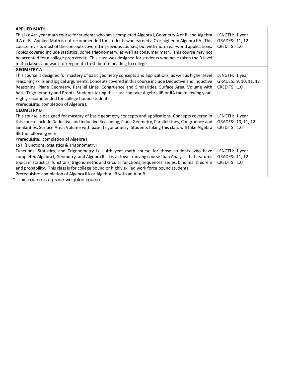| <b>APPLIED MATH</b>                                                                                        |                       |
|------------------------------------------------------------------------------------------------------------|-----------------------|
| This is a 4th year math course for students who have completed Algebra I, Geometry A or B, and Algebra     | LENGTH: 1 year        |
| II A or B. Applied Math is not recommended for students who earned a C or higher in Algebra IIA. This      | GRADES: 11, 12        |
| course revisits most of the concepts covered in previous courses, but with more real-world applications.   | CREDITS: 1.0          |
| Topics covered include statistics, some trigonometry, as well as consumer math. This course may not        |                       |
| be accepted for a college prep credit. This class was designed for students who have taken the B level     |                       |
| math classes and want to keep math fresh before heading to college.                                        |                       |
| <b>GEOMETRY A</b>                                                                                          |                       |
| This course is designed for mastery of basic geometry concepts and applications, as well as higher level   | LENGTH: 1 year        |
| reasoning skills and logical arguments. Concepts covered in this course include Deductive and Inductive    | GRADES: 9, 10, 11, 12 |
| Reasoning, Plane Geometry, Parallel Lines, Congruence and Similarities, Surface Area, Volume with          | CREDITS: 1.0          |
| basic Trigonometry and Proofs. Students taking this class can take Algebra IIB or IIA the following year.  |                       |
| Highly recommended for college bound students.                                                             |                       |
| Prerequisite: completion of Algebra I.                                                                     |                       |
| <b>GEOMETRY B</b>                                                                                          |                       |
| This course is designed for mastery of basic geometry concepts and applications. Concepts covered in       | LENGTH: 1 year        |
| this course include Deductive and Inductive Reasoning, Plane Geometry, Parallel Lines, Congruence and      | GRADES: 10, 11, 12    |
| Similarities, Surface Area, Volume with basic Trigonometry. Students taking this class will take Algebra   | CREDITS: 1.0          |
| IIB the following year.                                                                                    |                       |
| Prerequisite: completion of Algebra I                                                                      |                       |
| FST (Functions, Statistics & Trigonometry)                                                                 |                       |
| Functions, Statistics, and Trigonometry is a 4th year math course for those students who have              | LENGTH: 1 year        |
| completed Algebra I, Geometry, and Algebra II. It is a slower moving course than Analysis that features    | GRADES: 11, 12        |
| topics in statistics, functions, trigonometric and circular functions, sequences, series, binomial theorem | CREDITS: 1.0          |
| and probability. This class is for college bound or highly skilled work force bound students.              |                       |
| Prerequisite: completion of Algebra IIA or Algebra IIB with an A or B                                      |                       |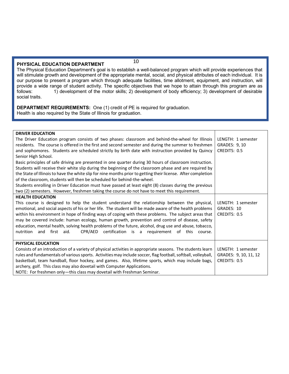# **PHYSICAL EDUCATION DEPARTMENT**

10

The Physical Education Department's goal is to establish a well-balanced program which will provide experiences that will stimulate growth and development of the appropriate mental, social, and physical attributes of each individual. It is our purpose to present a program which through adequate facilities, time allotment, equipment, and instruction, will provide a wide range of student activity. The specific objectives that we hope to attain through this program are as<br>follows: 1) development of the motor skills: 2) development of body efficiency: 3) development of desirab 1) development of the motor skills; 2) development of body efficiency; 3) development of desirable social traits.

**DEPARTMENT REQUIREMENTS:** One (1) credit of PE is required for graduation. Health is also required by the State of Illinois for graduation.

| <b>DRIVER EDUCATION</b>                                                                                       |                       |
|---------------------------------------------------------------------------------------------------------------|-----------------------|
| The Driver Education program consists of two phases: classroom and behind-the-wheel for Illinois              | LENGTH: 1 semester    |
| residents. The course is offered in the first and second semester and during the summer to freshmen           | GRADES: 9, 10         |
| and sophomores. Students are scheduled strictly by birth date with instruction provided by Quincy             | CREDITS: 0.5          |
| Senior High School.                                                                                           |                       |
| Basic principles of safe driving are presented in one quarter during 30 hours of classroom instruction.       |                       |
| Students will receive their white slip during the beginning of the classroom phase and are required by        |                       |
| the State of Illinois to have the white slip for nine months prior to getting their license. After completion |                       |
| of the classroom, students will then be scheduled for behind-the-wheel.                                       |                       |
| Students enrolling in Driver Education must have passed at least eight (8) classes during the previous        |                       |
| two (2) semesters. However, freshmen taking the course do not have to meet this requirement.                  |                       |
| <b>HEALTH EDUCATION</b>                                                                                       |                       |
| This course is designed to help the student understand the relationship between the physical,                 | LENGTH: 1 semester    |
| emotional, and social aspects of his or her life. The student will be made aware of the health problems       | GRADES: 10            |
| within his environment in hope of finding ways of coping with these problems. The subject areas that          | CREDITS: 0.5          |
| may be covered include: human ecology, human growth, prevention and control of disease, safety                |                       |
| education, mental health, solving health problems of the future, alcohol, drug use and abuse, tobacco,        |                       |
| first<br>CPR/AED<br>certification is a requirement of this<br>nutrition<br>and<br>aid.<br>course.             |                       |
|                                                                                                               |                       |
| PHYSICAL EDUCATION                                                                                            |                       |
| Consists of an introduction of a variety of physical activities in appropriate seasons. The students learn    | LENGTH: 1 semester    |
| rules and fundamentals of various sports. Activities may include soccer, flag football, softball, volleyball, | GRADES: 9, 10, 11, 12 |
| basketball, team handball, floor hockey, and games. Also, lifetime sports, which may include bags,            | CREDITS: 0.5          |
| archery, golf. This class may also dovetail with Computer Applications.                                       |                       |
| NOTE: For freshmen only-this class may dovetail with Freshman Seminar.                                        |                       |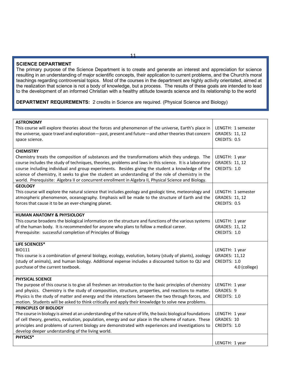# **SCIENCE DEPARTMENT**

The primary purpose of the Science Department is to create and generate an interest and appreciation for science resulting in an understanding of major scientific concepts, their application to current problems, and the Church's moral teachings regarding controversial topics. Most of the courses in the department are highly activity orientated, aimed at the realization that science is not a body of knowledge, but a process. The results of these goals are intended to lead to the development of an informed Christian with a healthy attitude towards science and its relationship to the world

**DEPARTMENT REQUIREMENTS:** 2 credits in Science are required. (Physical Science and Biology)

| <b>ASTRONOMY</b><br>This course will explore theories about the forces and phenomenon of the universe, Earth's place in<br>the universe, space travel and exploration-past, present and future-and other theories that concern<br>space science.                                                                                                                                                                                                                                                                                                   | LENGTH: 1 semester<br>GRADES: 11, 12<br>CREDITS: 0.5             |
|----------------------------------------------------------------------------------------------------------------------------------------------------------------------------------------------------------------------------------------------------------------------------------------------------------------------------------------------------------------------------------------------------------------------------------------------------------------------------------------------------------------------------------------------------|------------------------------------------------------------------|
| <b>CHEMISTRY</b><br>Chemistry treats the composition of substances and the transformations which they undergo. The<br>course includes the study of techniques, theories, problems and laws in this science. It is a laboratory<br>course including individual and group experiments. Besides giving the student a knowledge of the<br>science of chemistry, it seeks to give the student an understanding of the role of chemistry in the<br>world. Prerequisite: Algebra II or concurrent enrollment in Algebra II, Physical Science and Biology. | LENGTH: 1 year<br>GRADES: 11, 12<br>CREDITS: 1.0                 |
| <b>GEOLOGY</b><br>This course will explore the natural science that includes geology and geologic time, meteorology and<br>atmospheric phenomenon, oceanography. Emphasis will be made to the structure of Earth and the<br>forces that cause it to be an ever-changing planet.                                                                                                                                                                                                                                                                    | LENGTH: 1 semester<br>GRADES: 11, 12<br>CREDITS: 0.5             |
| <b>HUMAN ANATOMY &amp; PHYSIOLOGY</b><br>This course broadens the biological information on the structure and functions of the various systems<br>of the human body. It is recommended for anyone who plans to follow a medical career.<br>Prerequisite: successful completion of Principles of Biology                                                                                                                                                                                                                                            | LENGTH: 1 year<br>GRADES: 11, 12<br>CREDITS: 1.0                 |
| <b>LIFE SCIENCES*</b><br><b>BIO111</b><br>This course is a combination of general biology, ecology, evolution, botany (study of plants), zoology<br>(study of animals), and human biology. Additional expense includes a discounted tuition to QU and<br>purchase of the current textbook.                                                                                                                                                                                                                                                         | LENGTH: 1 year<br>GRADES: 11,12<br>CREDITS: 1.0<br>4.0 (college) |
| <b>PHYSICAL SCIENCE</b><br>The purpose of this course is to give all freshmen an introduction to the basic principles of chemistry<br>and physics. Chemistry is the study of composition, structure, properties, and reactions to matter.<br>Physics is the study of matter and energy and the interactions between the two through forces, and<br>motion. Students will be asked to think critically and apply their knowledge to solve new problems.                                                                                             | LENGTH: 1 year<br>GRADES: 9<br>CREDITS: 1.0                      |
| PRINCIPLES OF BIOLOGY<br>The course in biology is aimed at an understanding of the nature of life, the basic biological foundations<br>of cell theory, genetics, evolution, population, energy and our place in the scheme of nature. These<br>principles and problems of current biology are demonstrated with experiences and investigations to<br>develop deeper understanding of the living world.                                                                                                                                             | LENGTH: 1 year<br>GRADES: 10<br>CREDITS: 1.0                     |
| PHYSICS*                                                                                                                                                                                                                                                                                                                                                                                                                                                                                                                                           | LENGTH: 1 year                                                   |

11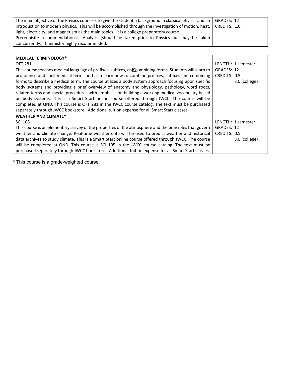| The main objective of the Physics course is to give the student a background in classical physics and an $\vert$ GRADES: 12 |  |
|-----------------------------------------------------------------------------------------------------------------------------|--|
| introduction to modern physics. This will be accomplished through the investigation of motion, heat,   CREDITS: 1.0         |  |
| light, electricity, and magnetism as the main topics. It is a college preparatory course.                                   |  |
| Prerequisite recommendations: Analysis (should be taken prior to Physics but may be taken                                   |  |
| concurrently.) Chemistry highly recommended.                                                                                |  |

| <b>MEDICAL TERMINOLOGY*</b>                                                                             |                    |
|---------------------------------------------------------------------------------------------------------|--------------------|
| <b>OFT 281</b>                                                                                          | LENGTH: 1 semester |
| This course teaches medical language of prefixes, suffixes, and Zombining forms. Students will learn to | GRADES: 12         |
| pronounce and spell medical terms and also learn how to combine prefixes, suffixes and combining        | CREDITS: 0.5       |
| forms to describe a medical term. The course utilizes a body system approach focusing upon specific     | 3.0 (college)      |
| body systems and providing a brief overview of anatomy and physiology, pathology, word roots,           |                    |
| related terms and special procedures with emphasis on building a working medical vocabulary based       |                    |
| on body systems. This is a Smart Start online course offered through JWCC. The course will be           |                    |
| completed at QND. This course is OFT 281 in the JWCC course catalog. The text must be purchased         |                    |
| separately through JWCC bookstore. Additional tuition expense for all Smart Start classes.              |                    |
| <b>WEATHER AND CLIMATE*</b>                                                                             |                    |
| <b>SCI 105</b>                                                                                          | LENGTH: 1 semester |
| This course is an elementary survey of the properties of the atmosphere and the principles that govern  | GRADES: 12         |
| weather and climate change. Real-time weather data will be used to predict weather and historical       | CREDITS: 0.5       |
| data archives to study climate. This is a Smart Start online course offered through JWCC. The course    | 3.0 (college)      |
| will be completed at QND. This course is SCI 105 in the JWCC course catalog. The text must be           |                    |
| purchased separately through JWCC bookstore. Additional tuition expense for all Smart Start classes.    |                    |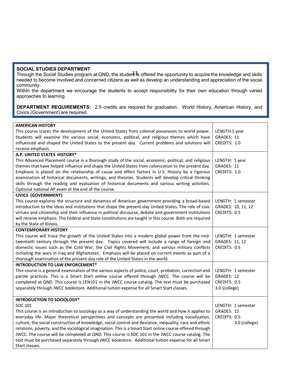# **SOCIAL STUDIES DEPARTMENT**

Through the Social Studies program at QND, the student is offered the opportunity to acquire the knowledge and skills needed to become involved and concerned citizens as well as develop an understanding and appreciation of the social community. 13

Within the department we encourage the students to accept responsibility for their own education through varied approaches to learning.

**DEPARTMENT REQUIREMENTS:** 2.5 credits are required for graduation. World History, American History, and Civics (Government) are required.

| <b>AMERICAN HISTORY</b><br>This course traces the development of the United States from colonial possession to world power.<br>Students will examine the various social, economic, political, and religious themes which have<br>influenced and shaped the United States to the present day. Current problems and solutions will<br>receive emphasis.                                                                                                                                                                                                                                                                                                                      | LENGTH:1 year<br>GRADES: 11<br>CREDITS: 1.0                       |
|----------------------------------------------------------------------------------------------------------------------------------------------------------------------------------------------------------------------------------------------------------------------------------------------------------------------------------------------------------------------------------------------------------------------------------------------------------------------------------------------------------------------------------------------------------------------------------------------------------------------------------------------------------------------------|-------------------------------------------------------------------|
| A.P. UNITED STATES HISTORY*                                                                                                                                                                                                                                                                                                                                                                                                                                                                                                                                                                                                                                                |                                                                   |
| This Advanced Placement course is a thorough study of the social, economic, political, and religious<br>themes that have helped influence and shape the United States from colonization to the present day.<br>Emphasis is placed on the relationship of cause and effect factors in U.S. History by a rigorous<br>examination of historical documents, writings, and theories. Students will develop critical thinking<br>skills through the reading and evaluation of historical documents and various writing activities.<br>Optional national AP exam at the end of the course.                                                                                        | LENGTH: 1 year<br>GRADES: 11<br>CREDITS: 1.0                      |
| <b>CIVICS (GOVERNMENT)</b>                                                                                                                                                                                                                                                                                                                                                                                                                                                                                                                                                                                                                                                 |                                                                   |
| This course explores the structure and dynamics of American government providing a broad-based<br>introduction to the ideas and institutions that shape the present-day United States. The role of civic<br>virtues and citizenship and their influence in political discourse, debate and government institutions<br>will receive emphasis. The Federal and State constitutions are taught in this course. Both are required<br>by the State of Illinois.                                                                                                                                                                                                                 | LENGTH: 1 semester<br>GRADES: 10, 11, 12<br>CREDITS: 0.5          |
| <b>CONTEMPORARY HISTORY</b>                                                                                                                                                                                                                                                                                                                                                                                                                                                                                                                                                                                                                                                |                                                                   |
| This course will trace the growth of the United States into a modern global power from the mid-<br>twentieth century through the present day. Topics covered will include a range of foreign and<br>domestic issues such as the Cold War, the Civil Rights Movement, and various military conflicts<br>including the wars in Iraq and Afghanistan. Emphasis will be placed on current events as part of a<br>thorough examination of the present-day role of the United States in the world.                                                                                                                                                                               | LENGTH: 1 semester<br>GRADES: 11, 12<br>CREDITS: 0.5              |
| <b>INTRODUCTION TO LAW ENFORCEMENT*</b>                                                                                                                                                                                                                                                                                                                                                                                                                                                                                                                                                                                                                                    |                                                                   |
| This course is a general examination of the various aspects of police, court, probation, correction and<br>parole practices. This is a Smart Start online course offered through JWCC. The course will be<br>completed at QND. This course is LEN101 in the JWCC course catalog. The text must be purchased<br>separately through JWCC bookstore. Additional tuition expense for all Smart Start classes.                                                                                                                                                                                                                                                                  | LENGTH: 1 semester<br>GRADES: 12<br>CREDITS: 0.5<br>3.0 (college) |
| <b>INTRODUCTION TO SOCIOLOGY*</b>                                                                                                                                                                                                                                                                                                                                                                                                                                                                                                                                                                                                                                          |                                                                   |
| SOC 101<br>This course is an introduction to sociology as a way of understanding the world and how it applies to<br>everyday life. Major theoretical perspectives and concepts are presented including socialization,<br>culture, the social construction of knowledge, social control and deviance, inequality, race and ethnic<br>relations, poverty, and the sociological imagination. This is a Smart Start online course offered through<br>JWCC. The course will be completed at QND. This course is SOC 101 in the JWCC course catalog. The<br>text must be purchased separately through JWCC bookstore. Additional tuition expense for all Smart<br>Start classes. | LENGTH: 1 semester<br>GRADES: 12<br>CREDITS: 0.5<br>3.0 (college) |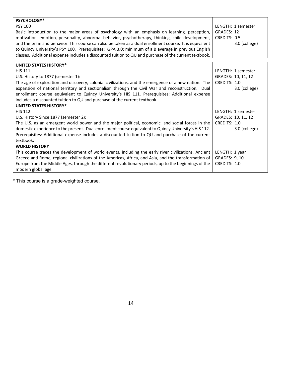| PSYCHOLOGY*                                                                                             |                    |
|---------------------------------------------------------------------------------------------------------|--------------------|
| <b>PSY 100</b>                                                                                          | LENGTH: 1 semester |
| Basic introduction to the major areas of psychology with an emphasis on learning, perception,           | GRADES: 12         |
| motivation, emotion, personality, abnormal behavior, psychotherapy, thinking, child development,        | CREDITS: 0.5       |
| and the brain and behavior. This course can also be taken as a dual enrollment course. It is equivalent | 3.0 (college)      |
| to Quincy University's PSY 100. Prerequisites: GPA 3.0; minimum of a B average in previous English      |                    |
| classes. Additional expense includes a discounted tuition to QU and purchase of the current textbook.   |                    |
|                                                                                                         |                    |
| <b>UNITED STATES HISTORY*</b>                                                                           |                    |
| <b>HIS 111</b>                                                                                          | LENGTH: 1 semester |
| U.S. History to 1877 (semester 1):                                                                      | GRADES: 10, 11, 12 |
| The age of exploration and discovery, colonial civilizations, and the emergence of a new nation. The    | CREDITS: 1.0       |
| expansion of national territory and sectionalism through the Civil War and reconstruction. Dual         | 3.0 (college)      |
| enrollment course equivalent to Quincy University's HIS 111. Prerequisites: Additional expense          |                    |
| includes a discounted tuition to QU and purchase of the current textbook.                               |                    |
| <b>UNITED STATES HISTORY*</b>                                                                           |                    |
| <b>HIS 112</b>                                                                                          | LENGTH: 1 semester |
| U.S. History Since 1877 (semester 2):                                                                   | GRADES: 10, 11, 12 |
| The U.S. as an emergent world power and the major political, economic, and social forces in the         | CREDITS: 1.0       |
| domestic experience to the present. Dual enrollment course equivalent to Quincy University's HIS 112.   | 3.0 (college)      |
| Prerequisites: Additional expense includes a discounted tuition to QU and purchase of the current       |                    |
| textbook.                                                                                               |                    |
| <b>WORLD HISTORY</b>                                                                                    |                    |
| This course traces the development of world events, including the early river civilizations, Ancient    | LENGTH: 1 year     |
| Greece and Rome, regional civilizations of the Americas, Africa, and Asia, and the transformation of    | GRADES: 9, 10      |
| Europe from the Middle Ages, through the different revolutionary periods, up to the beginnings of the   | CREDITS: 1.0       |
| modern global age.                                                                                      |                    |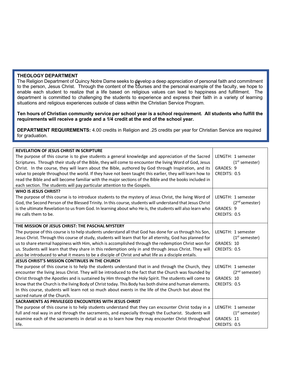# **THEOLOGY DEPARTMENT**

The Religion Department of Quincy Notre Dame seeks to develop a deep appreciation of personal faith and commitment The Religion Department of Quincy Notre Dame seeks to agvelop a deep appreciation of personal ratin and communent<br>to the person, Jesus Christ. Through the content of the courses and the personal example of the faculty, we enable each student to realize that a life based on religious values can lead to happiness and fulfillment. The department is committed to challenging the students to experience and express their faith in a variety of learning situations and religious experiences outside of class within the Christian Service Program.

**Ten hours of Christian community service per school year is a school requirement. All students who fulfill the requirements will receive a grade and a 1/4 credit at the end of the school year.**

**DEPARTMENT REQUIREMENTS:** 4.00 credits in Religion and .25 credits per year for Christian Service are required for graduation.

| <b>REVELATION OF JESUS CHRIST IN SCRIPTURE</b>                                                             |                            |
|------------------------------------------------------------------------------------------------------------|----------------------------|
| The purpose of this course is to give students a general knowledge and appreciation of the Sacred          | LENGTH: 1 semester         |
| Scriptures. Through their study of the Bible, they will come to encounter the living Word of God, Jesus    | $(1st$ semester)           |
| Christ. In the course, they will learn about the Bible, authored by God through Inspiration, and its       | GRADES: 9                  |
| value to people throughout the world. If they have not been taught this earlier, they will learn how to    | CREDITS: 0.5               |
| read the Bible and will become familiar with the major sections of the Bible and the books included in     |                            |
| each section. The students will pay particular attention to the Gospels.                                   |                            |
| <b>WHO IS JESUS CHRIST?</b>                                                                                |                            |
| The purpose of this course is to introduce students to the mystery of Jesus Christ, the living Word of     | LENGTH: 1 semester         |
| God, the Second Person of the Blessed Trinity. In this course, students will understand that Jesus Christ  | (2 <sup>nd</sup> semester) |
| is the ultimate Revelation to us from God. In learning about who He is, the students will also learn who   | GRADES: 9                  |
| He calls them to be.                                                                                       | CREDITS: 0.5               |
|                                                                                                            |                            |
| THE MISSION OF JESUS CHRIST: THE PASCHAL MYSTERY                                                           |                            |
| The purpose of this course is to help students understand all that God has done for us through his Son,    | LENGTH: 1 semester         |
| Jesus Christ. Through this course of study, students will learn that for all eternity, God has planned for | $(1st$ semester)           |
| us to share eternal happiness with Him, which is accomplished through the redemption Christ won for        | GRADES: 10                 |
| us. Students will learn that they share in this redemption only in and through Jesus Christ. They will     | CREDITS: 0.5               |
| also be introduced to what it means to be a disciple of Christ and what life as a disciple entails.        |                            |
| JESUS CHRIST'S MISSION CONTINUES IN THE CHURCH                                                             |                            |
| The purpose of this course is to help the students understand that in and through the Church, they         | LENGTH: 1 semester         |
| encounter the living Jesus Christ. They will be introduced to the fact that the Church was founded by      | (2 <sup>nd</sup> semester) |
| Christ through the Apostles and is sustained by Him through the Holy Spirit. The students will come to     | GRADES: 10                 |
| know that the Church is the living Body of Christ today. This Body has both divine and human elements.     | CREDITS: 0.5               |
| In this course, students will learn not so much about events in the life of the Church but about the       |                            |
| sacred nature of the Church.                                                                               |                            |
| SACRAMENTS AS PRIVILEGED ENCOUNTERS WITH JESUS CHRIST                                                      |                            |
| The purpose of this course is to help students understand that they can encounter Christ today in a        | LENGTH: 1 semester         |
| full and real way in and through the sacraments, and especially through the Eucharist. Students will       | $(1st$ semester)           |
| examine each of the sacraments in detail so as to learn how they may encounter Christ throughout           | GRADES: 11                 |
| life.                                                                                                      | CREDITS: 0.5               |